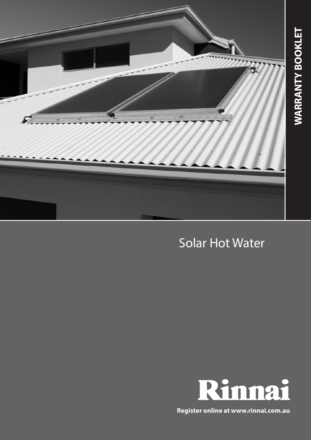

# Solar Hot Water



**Register online at www.rinnai.com.au**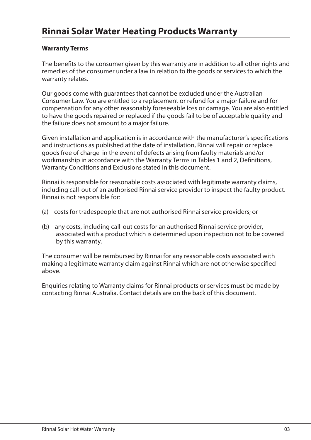### **Warranty Terms**

The benefits to the consumer given by this warranty are in addition to all other rights and remedies of the consumer under a law in relation to the goods or services to which the warranty relates.

Our goods come with guarantees that cannot be excluded under the Australian Consumer Law. You are entitled to a replacement or refund for a major failure and for compensation for any other reasonably foreseeable loss or damage. You are also entitled to have the goods repaired or replaced if the goods fail to be of acceptable quality and the failure does not amount to a major failure.

Given installation and application is in accordance with the manufacturer's specifications and instructions as published at the date of installation, Rinnai will repair or replace goods free of charge in the event of defects arising from faulty materials and/or workmanship in accordance with the Warranty Terms in Tables 1 and 2, Definitions, Warranty Conditions and Exclusions stated in this document.

Rinnai is responsible for reasonable costs associated with legitimate warranty claims, including call-out of an authorised Rinnai service provider to inspect the faulty product. Rinnai is not responsible for:

- (a) costs for tradespeople that are not authorised Rinnai service providers; or
- (b) any costs, including call-out costs for an authorised Rinnai service provider, associated with a product which is determined upon inspection not to be covered by this warranty.

The consumer will be reimbursed by Rinnai for any reasonable costs associated with making a legitimate warranty claim against Rinnai which are not otherwise specified above.

Enquiries relating to Warranty claims for Rinnai products or services must be made by contacting Rinnai Australia. Contact details are on the back of this document.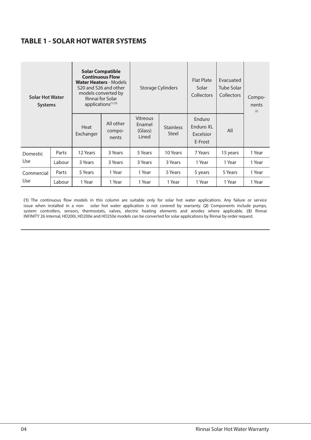### **TABLE 1 - SOLAR HOT WATER SYSTEMS**

| <b>Solar Hot Water</b><br><b>Systems</b> |        | <b>Solar Compatible</b><br><b>Continuous Flow</b><br><b>Water Heaters - Models</b><br>S20 and S26 and other<br>models converted by<br>Rinnai for Solar<br>applications <sup>(1)(3)</sup> |                              | <b>Storage Cylinders</b>               |                           | Flat Plate<br>Solar<br>Collectors           | Evacuated<br>Tube Solar<br>Collectors | Compo-<br>nents<br>(2) |  |
|------------------------------------------|--------|------------------------------------------------------------------------------------------------------------------------------------------------------------------------------------------|------------------------------|----------------------------------------|---------------------------|---------------------------------------------|---------------------------------------|------------------------|--|
|                                          |        | Heat<br>Exchanger                                                                                                                                                                        | All other<br>compo-<br>nents | Vitreous<br>Enamel<br>(Glass)<br>Lined | <b>Stainless</b><br>Steel | Enduro<br>Enduro XL<br>Excelsior<br>E-Frost | All                                   |                        |  |
| Domestic                                 | Parts  | 12 Years                                                                                                                                                                                 | 3 Years                      | 5 Years                                | 10 Years                  | 7 Years                                     | 15 years                              | 1 Year                 |  |
| Use                                      | Labour | 3 Years                                                                                                                                                                                  | 3 Years                      | 3 Years                                | 3 Years                   | 1 Year                                      | 1 Year                                | 1 Year                 |  |
| Commercial<br>Use                        | Parts  | 5 Years                                                                                                                                                                                  | 1 Year                       | 1 Year                                 | 5 Years                   | 5 years                                     | 5 Years                               | 1 Year                 |  |
|                                          | Labour | 1 Year                                                                                                                                                                                   | 1 Year                       | 1 Year                                 | 1 Year                    | 1 Year                                      | 1 Year                                | 1 Year                 |  |

**(1)** The continuous flow models in this column are suitable only for solar hot water applications. Any failure or service issue when installed in a non - solar hot water application is not covered by warranty. (2) Components include pumps,<br>system controllers, sensors, thermostats, valves, electric heating elements and anodes where applicable. INFINITY 26 Internal, HD200i, HD200e and HD250e models can be converted for solar applications by Rinnai by order request.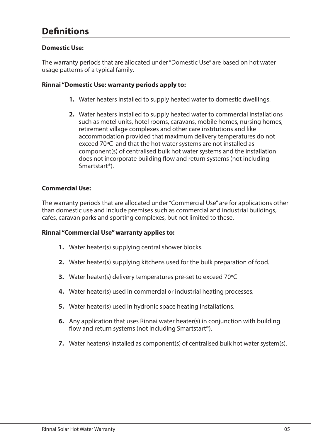## **Definitions**

### **Domestic Use:**

The warranty periods that are allocated under "Domestic Use" are based on hot water usage patterns of a typical family.

#### **Rinnai "Domestic Use: warranty periods apply to:**

- **1.** Water heaters installed to supply heated water to domestic dwellings.
- **2.** Water heaters installed to supply heated water to commercial installations such as motel units, hotel rooms, caravans, mobile homes, nursing homes, retirement village complexes and other care institutions and like accommodation provided that maximum delivery temperatures do not exceed 70ºC and that the hot water systems are not installed as component(s) of centralised bulk hot water systems and the installation does not incorporate building flow and return systems (not including Smartstart®).

#### **Commercial Use:**

The warranty periods that are allocated under "Commercial Use" are for applications other than domestic use and include premises such as commercial and industrial buildings, cafes, caravan parks and sporting complexes, but not limited to these.

### **Rinnai "Commercial Use" warranty applies to:**

- **1.** Water heater(s) supplying central shower blocks.
- **2.** Water heater(s) supplying kitchens used for the bulk preparation of food.
- **3.** Water heater(s) delivery temperatures pre-set to exceed 70ºC
- **4.** Water heater(s) used in commercial or industrial heating processes.
- **5.** Water heater(s) used in hydronic space heating installations.
- **6.** Any application that uses Rinnai water heater(s) in conjunction with building flow and return systems (not including Smartstart®).
- **7.** Water heater(s) installed as component(s) of centralised bulk hot water system(s).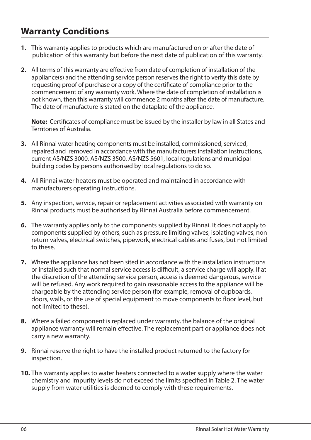### **Warranty Conditions**

- **1.** This warranty applies to products which are manufactured on or after the date of publication of this warranty but before the next date of publication of this warranty.
- **2.** All terms of this warranty are effective from date of completion of installation of the appliance(s) and the attending service person reserves the right to verify this date by requesting proof of purchase or a copy of the certificate of compliance prior to the commencement of any warranty work. Where the date of completion of installation is not known, then this warranty will commence 2 months after the date of manufacture. The date of manufacture is stated on the dataplate of the appliance.

**Note:** Certificates of compliance must be issued by the installer by law in all States and Territories of Australia.

- **3.** All Rinnai water heating components must be installed, commissioned, serviced, repaired and removed in accordance with the manufacturers installation instructions, current AS/NZS 3000, AS/NZS 3500, AS/NZS 5601, local regulations and municipal building codes by persons authorised by local regulations to do so.
- **4.** All Rinnai water heaters must be operated and maintained in accordance with manufacturers operating instructions.
- **5.** Any inspection, service, repair or replacement activities associated with warranty on Rinnai products must be authorised by Rinnai Australia before commencement.
- **6.** The warranty applies only to the components supplied by Rinnai. It does not apply to components supplied by others, such as pressure limiting valves, isolating valves, non return valves, electrical switches, pipework, electrical cables and fuses, but not limited to these.
- **7.** Where the appliance has not been sited in accordance with the installation instructions or installed such that normal service access is difficult, a service charge will apply. If at the discretion of the attending service person, access is deemed dangerous, service will be refused. Any work required to gain reasonable access to the appliance will be chargeable by the attending service person (for example, removal of cupboards, doors, walls, or the use of special equipment to move components to floor level, but not limited to these).
- **8.** Where a failed component is replaced under warranty, the balance of the original appliance warranty will remain effective. The replacement part or appliance does not carry a new warranty.
- **9.** Rinnai reserve the right to have the installed product returned to the factory for inspection.
- **10.** This warranty applies to water heaters connected to a water supply where the water chemistry and impurity levels do not exceed the limits specified in Table 2. The water supply from water utilities is deemed to comply with these requirements.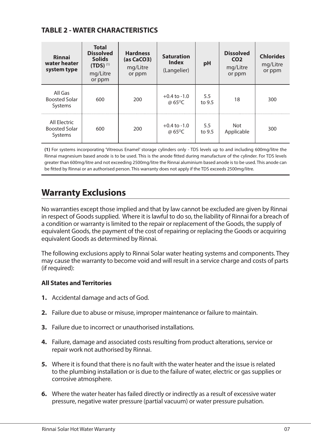### **TABLE 2 - WATER CHARACTERISTICS**

| Rinnai<br>water heater<br>system type           | <b>Total</b><br><b>Dissolved</b><br><b>Solids</b><br>$(TDS)^{(1)}$<br>mg/Litre<br>or ppm | <b>Hardness</b><br>(as CaCO3)<br>mg/Litre<br>or ppm | <b>Saturation</b><br><b>Index</b><br>(Langelier) | pH            | <b>Dissolved</b><br>CO <sub>2</sub><br>mg/Litre<br>or ppm | <b>Chlorides</b><br>mg/Litre<br>or ppm |
|-------------------------------------------------|------------------------------------------------------------------------------------------|-----------------------------------------------------|--------------------------------------------------|---------------|-----------------------------------------------------------|----------------------------------------|
| All Gas<br><b>Boosted Solar</b><br>Systems      | 600                                                                                      | 200                                                 | $+0.4$ to $-1.0$<br>@ 65 <sup>o</sup> C          | 5.5<br>to 9.5 | 18                                                        | 300                                    |
| All Electric<br><b>Boosted Solar</b><br>Systems | 600                                                                                      | 200                                                 | $+0.4$ to $-1.0$<br>@ 65 <sup>o</sup> C          | 5.5<br>to 9.5 | Not<br>Applicable                                         | 300                                    |

**(1)** For systems incorporating 'Vitreous Enamel' storage cylinders only - TDS levels up to and including 600mg/litre the Rinnai magnesium based anode is to be used. This is the anode fitted during manufacture of the cylinder. For TDS levels greater than 600mg/litre and not exceeding 2500mg/litre the Rinnai aluminium based anode is to be used. This anode can be fitted by Rinnai or an authorised person. This warranty does not apply if the TDS exceeds 2500mg/litre.

## **Warranty Exclusions**

No warranties except those implied and that by law cannot be excluded are given by Rinnai in respect of Goods supplied. Where it is lawful to do so, the liability of Rinnai for a breach of a condition or warranty is limited to the repair or replacement of the Goods, the supply of equivalent Goods, the payment of the cost of repairing or replacing the Goods or acquiring equivalent Goods as determined by Rinnai.

The following exclusions apply to Rinnai Solar water heating systems and components. They may cause the warranty to become void and will result in a service charge and costs of parts (if required):

### **All States and Territories**

- **1.** Accidental damage and acts of God.
- **2.** Failure due to abuse or misuse, improper maintenance or failure to maintain.
- **3.** Failure due to incorrect or unauthorised installations.
- **4.** Failure, damage and associated costs resulting from product alterations, service or repair work not authorised by Rinnai.
- **5.** Where it is found that there is no fault with the water heater and the issue is related to the plumbing installation or is due to the failure of water, electric or gas supplies or corrosive atmosphere.
- **6.** Where the water heater has failed directly or indirectly as a result of excessive water pressure, negative water pressure (partial vacuum) or water pressure pulsation.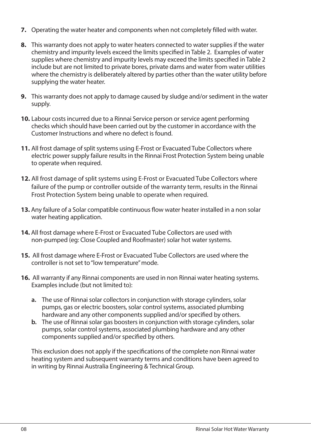- **7.** Operating the water heater and components when not completely filled with water.
- **8.** This warranty does not apply to water heaters connected to water supplies if the water chemistry and impurity levels exceed the limits specified in Table 2. Examples of water supplies where chemistry and impurity levels may exceed the limits specified in Table 2 include but are not limited to private bores, private dams and water from water utilities where the chemistry is deliberately altered by parties other than the water utility before supplying the water heater.
- **9.** This warranty does not apply to damage caused by sludge and/or sediment in the water supply.
- **10.** Labour costs incurred due to a Rinnai Service person or service agent performing checks which should have been carried out by the customer in accordance with the Customer Instructions and where no defect is found.
- **11.** All frost damage of split systems using E-Frost or Evacuated Tube Collectors where electric power supply failure results in the Rinnai Frost Protection System being unable to operate when required.
- **12.** All frost damage of split systems using E-Frost or Evacuated Tube Collectors where failure of the pump or controller outside of the warranty term, results in the Rinnai Frost Protection System being unable to operate when required.
- **13.** Any failure of a Solar compatible continuous flow water heater installed in a non solar water heating application.
- **14.** All frost damage where E-Frost or Evacuated Tube Collectors are used with non-pumped (eg: Close Coupled and Roofmaster) solar hot water systems.
- **15.** All frost damage where E-Frost or Evacuated Tube Collectors are used where the controller is not set to "low temperature" mode.
- **16.** All warranty if any Rinnai components are used in non Rinnai water heating systems. Examples include (but not limited to):
	- **a.** The use of Rinnai solar collectors in conjunction with storage cylinders, solar pumps, gas or electric boosters, solar control systems, associated plumbing hardware and any other components supplied and/or specified by others.
	- **b.** The use of Rinnai solar gas boosters in conjunction with storage cylinders, solar pumps, solar control systems, associated plumbing hardware and any other components supplied and/or specified by others.

This exclusion does not apply if the specifications of the complete non Rinnai water heating system and subsequent warranty terms and conditions have been agreed to in writing by Rinnai Australia Engineering & Technical Group.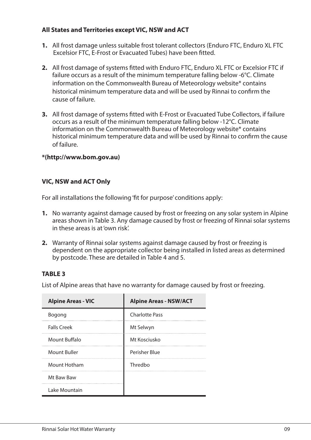### **All States and Territories except VIC, NSW and ACT**

- **1.** All frost damage unless suitable frost tolerant collectors (Enduro FTC, Enduro XL FTC Excelsior FTC, E-Frost or Evacuated Tubes) have been fitted.
- **2.** All frost damage of systems fitted with Enduro FTC, Enduro XL FTC or Excelsior FTC if failure occurs as a result of the minimum temperature falling below -6°C. Climate information on the Commonwealth Bureau of Meteorology website\* contains historical minimum temperature data and will be used by Rinnai to confirm the cause of failure.
- **3.** All frost damage of systems fitted with E-Frost or Evacuated Tube Collectors, if failure occurs as a result of the minimum temperature falling below -12°C. Climate information on the Commonwealth Bureau of Meteorology website\* contains historical minimum temperature data and will be used by Rinnai to confirm the cause of failure.

### **\*(http://www.bom.gov.au)**

### **VIC, NSW and ACT Only**

For all installations the following 'fit for purpose' conditions apply:

- **1.** No warranty against damage caused by frost or freezing on any solar system in Alpine areas shown in Table 3. Any damage caused by frost or freezing of Rinnai solar systems in these areas is at 'own risk'.
- **2.** Warranty of Rinnai solar systems against damage caused by frost or freezing is dependent on the appropriate collector being installed in listed areas as determined by postcode. These are detailed in Table 4 and 5.

### **TABLE 3**

List of Alpine areas that have no warranty for damage caused by frost or freezing.

| <b>Alpine Areas - VIC</b> | <b>Alpine Areas - NSW/ACT</b> |
|---------------------------|-------------------------------|
| Bogong                    | <b>Charlotte Pass</b>         |
| <b>Falls Creek</b>        | Mt Selwyn<br>                 |
| Mount Buffalo             | Mt Kosciusko                  |
| Mount Buller              | Perisher Blue                 |
| Mount Hotham              | Thredho                       |
| Mt Baw Baw                |                               |
| Lake Mountain             |                               |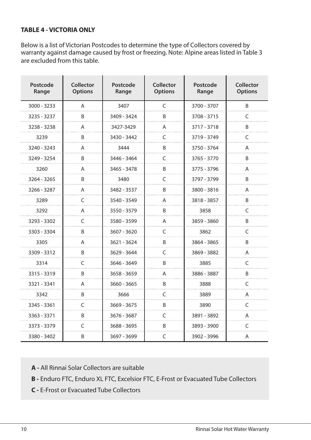### **TABLE 4 - VICTORIA ONLY**

Below is a list of Victorian Postcodes to determine the type of Collectors covered by warranty against damage caused by frost or freezing. Note: Alpine areas listed in Table 3 are excluded from this table.

| Postcode<br>Range | Collector<br><b>Options</b> | Postcode<br>Range | Collector<br><b>Options</b> | Postcode<br>Range | Collector<br><b>Options</b> |
|-------------------|-----------------------------|-------------------|-----------------------------|-------------------|-----------------------------|
| $3000 - 3233$     | A                           | 3407              | $\mathsf{C}$                | 3700 - 3707       | B                           |
| 3235 - 3237       | B                           | 3409 - 3424       | B                           | 3708 - 3715       | C                           |
| 3238 - 3238       | Α                           | 3427-3429         | A                           | 3717 - 3718       | B                           |
| 3239              | B                           | 3430 - 3442       | C                           | 3719 - 3749       | C                           |
| 3240 - 3243       | Α                           | 3444              | B                           | 3750 - 3764       | Α                           |
| 3249 - 3254       | B                           | 3446 - 3464       | C                           | 3765 - 3770       | B                           |
| 3260              | Α                           | 3465 - 3478       | B                           | 3775 - 3796       | Α                           |
| 3264 - 3265       | B                           | 3480              | C                           | 3797 - 3799       | B                           |
| 3266 - 3287       | A                           | 3482 - 3537       | B                           | 3800 - 3816       | A                           |
| 3289              | $\mathsf{C}$                | 3540 - 3549       | Α                           | 3818 - 3857       | B                           |
| 3292              | A                           | 3550 - 3579       | B                           | 3858              | C                           |
| 3293 - 3302       | $\mathsf{C}$                | 3580 - 3599       | A                           | 3859 - 3860       | B                           |
| 3303 - 3304       | B                           | $3607 - 3620$     | $\mathsf{C}$                | 3862              | C                           |
| 3305              | A                           | 3621 - 3624       | B                           | 3864 - 3865       | B                           |
| 3309 - 3312       | B                           | 3629 - 3644       | $\mathsf{C}$                | 3869 - 3882       | Α                           |
| 3314              | $\mathsf{C}$                | 3646 - 3649       | B                           | 3885              | C                           |
| 3315 - 3319       | B                           | 3658 - 3659       | A                           | 3886 - 3887       | B                           |
| 3321 - 3341       | Α                           | 3660 - 3665       | B                           | 3888              | C                           |
| 3342              | B                           | 3666              | C                           | 3889              | Α                           |
| 3345 - 3361       | $\mathsf{C}$                | $3669 - 3675$     | B                           | 3890              | C                           |
| 3363 - 3371       | B                           | 3676 - 3687       | C                           | 3891 - 3892       | A                           |
| 3373 - 3379       | $\mathsf{C}$                | 3688 - 3695       | B                           | 3893 - 3900       | C                           |
| 3380 - 3402       | B                           | 3697 - 3699       | C                           | 3902 - 3996       | A                           |

**A -** All Rinnai Solar Collectors are suitable

**B -** Enduro FTC, Enduro XL FTC, Excelsior FTC, E-Frost or Evacuated Tube Collectors

**C -** E-Frost or Evacuated Tube Collectors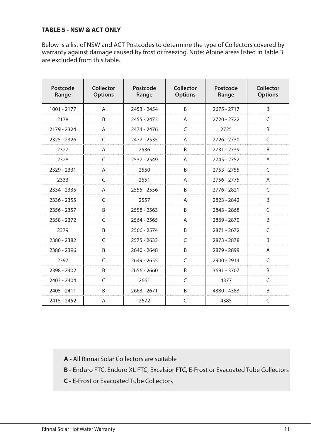### **TABLE 5 - NSW & ACT ONLY**

Below is a list of NSW and ACT Postcodes to determine the type of Collectors covered by warranty against damage caused by frost or freezing. Note: Alpine areas listed in Table 3 are excluded from this table.

| Postcode<br>Range | Collector<br><b>Options</b> | Postcode<br>Range | Collector<br><b>Options</b> | Postcode<br>Range | Collector<br><b>Options</b> |
|-------------------|-----------------------------|-------------------|-----------------------------|-------------------|-----------------------------|
| 1001 - 2177       | A                           | 2453 - 2454       | <sub>R</sub>                | $2675 - 2717$     | <sub>R</sub>                |
| 2178              | B                           | $2455 - 2473$     | A                           | 2720 - 2722       | C                           |
| 2179 - 2324       | A                           | 2474 - 2476       | $\epsilon$                  | 2725              | B                           |
| 2325 - 2326       | C                           | 2477 - 2535       | A                           | 2726 - 2730       | C                           |
| 2327              | A                           | 2536              | B                           | 2731 - 2739       | B                           |
| 2328              | $\epsilon$                  | 2537 - 2549       | A                           | $2745 - 2752$     | A                           |
| 2329 - 2331       | A                           | 2550              | B                           | $2753 - 2755$     | C                           |
| 2333              | $\mathcal{C}$               | 2551              | A                           | 2756 - 2775       | A                           |
| 2334 - 2335       | A                           | 2555 - 2556       | <sub>R</sub>                | 2776 - 2821       | $\subset$                   |
| 2336 - 2355       | C                           | 2557              | A                           | 2823 - 2842       | B                           |
| 2356 - 2357       | B                           | 2558 - 2563       | B                           | 2843 - 2868       | C                           |
| 2358 - 2372       | $\epsilon$                  | $2564 - 2565$     | A                           | 2869 - 2870       | B                           |
| 2379              | B                           | 2566 - 2574       | B                           | 2871 - 2672       | C                           |
| 2380 - 2382       | C                           | $2575 - 2633$     | C                           | 2873 - 2878       | B                           |
| 2386 - 2396       | <sub>R</sub>                | $2640 - 2648$     | B                           | 2879 - 2899       | A                           |
| 2397              | C                           | $2649 - 2655$     | C                           | 2900 - 2914       | C                           |
| 2398 - 2402       | <sub>R</sub>                | $2656 - 2660$     | <sub>R</sub>                | 3691 - 3707       | B                           |
| $2403 - 2404$     | $\epsilon$                  | 2661              | C                           | 4377              | $\subset$                   |
| 2405 - 2411       | B                           | $2663 - 2671$     | B                           | 4380 - 4383       | B                           |
| 2415 - 2452       | A                           | 2672              | C                           | 4385              | C                           |

**A -** All Rinnai Solar Collectors are suitable

- **B -** Enduro FTC, Enduro XL FTC, Excelsior FTC, E-Frost or Evacuated Tube Collectors
- **C -** E-Frost or Evacuated Tube Collectors